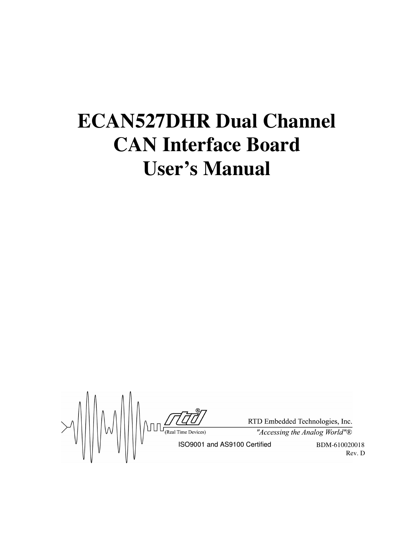# **ECAN527DHR Dual Channel CAN Interface Board User's Manual**

 $\text{FDD-EM}$ <br>  $\text{FDD-EM}$ <br>
ISO9001 and AS9100 Certified

RTD Embedded Technologies, Inc.

"Accessing the Analog World" $\overline{\mathbb{B}}$ 

BDM-610020018 Rev. D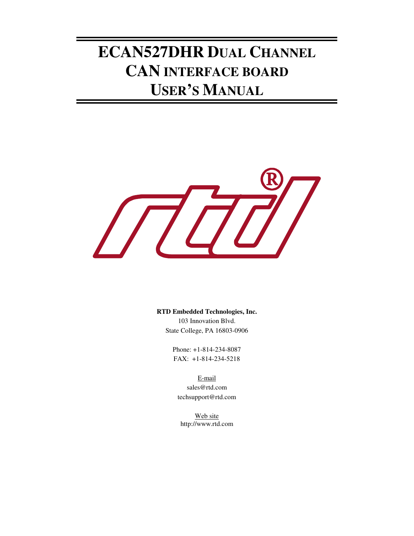# **ECAN527DHR DUAL CHANNEL CAN INTERFACE BOARD USER'S MANUAL**



**RTD Embedded Technologies, Inc.** 103 Innovation Blvd. State College, PA 16803-0906

> Phone: +1-814-234-8087 FAX: +1-814-234-5218

E-mail sales@rtd.com techsupport@rtd.com

Web site http://www.rtd.com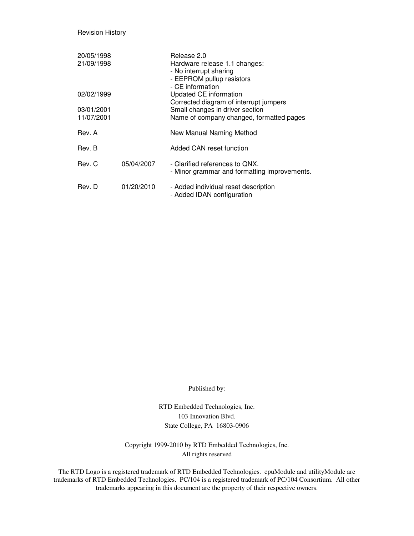#### **Revision History**

| 20/05/1998<br>21/09/1998 |            | Release 2.0<br>Hardware release 1.1 changes:<br>- No interrupt sharing<br>- EEPROM pullup resistors<br>- CE information |
|--------------------------|------------|-------------------------------------------------------------------------------------------------------------------------|
| 02/02/1999               |            | Updated CE information<br>Corrected diagram of interrupt jumpers                                                        |
| 03/01/2001<br>11/07/2001 |            | Small changes in driver section<br>Name of company changed, formatted pages                                             |
| Rev. A                   |            | New Manual Naming Method                                                                                                |
| Rev. B                   |            | Added CAN reset function                                                                                                |
| Rev. C                   | 05/04/2007 | - Clarified references to QNX.<br>- Minor grammar and formatting improvements.                                          |
| Rev. D                   | 01/20/2010 | - Added individual reset description<br>- Added IDAN configuration                                                      |

Published by:

RTD Embedded Technologies, Inc. 103 Innovation Blvd. State College, PA 16803-0906

Copyright 1999-2010 by RTD Embedded Technologies, Inc. All rights reserved

The RTD Logo is a registered trademark of RTD Embedded Technologies. cpuModule and utilityModule are trademarks of RTD Embedded Technologies. PC/104 is a registered trademark of PC/104 Consortium. All other trademarks appearing in this document are the property of their respective owners.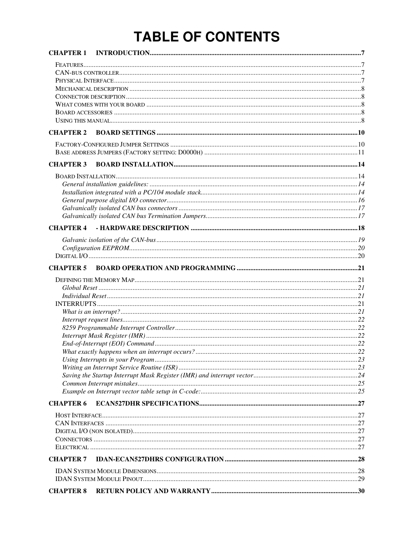# **TABLE OF CONTENTS**

| <b>CHAPTER 2</b> |  |
|------------------|--|
|                  |  |
| <b>CHAPTER 3</b> |  |
|                  |  |
|                  |  |
|                  |  |
|                  |  |
|                  |  |
|                  |  |
|                  |  |
|                  |  |
|                  |  |
|                  |  |
|                  |  |
| <b>CHAPTER 5</b> |  |
|                  |  |
|                  |  |
|                  |  |
|                  |  |
|                  |  |
|                  |  |
|                  |  |
|                  |  |
|                  |  |
|                  |  |
|                  |  |
|                  |  |
|                  |  |
|                  |  |
| <b>CHAPTER 6</b> |  |
|                  |  |
|                  |  |
|                  |  |
|                  |  |
|                  |  |
| <b>CHAPTER 7</b> |  |
|                  |  |
|                  |  |
| <b>CHAPTER 8</b> |  |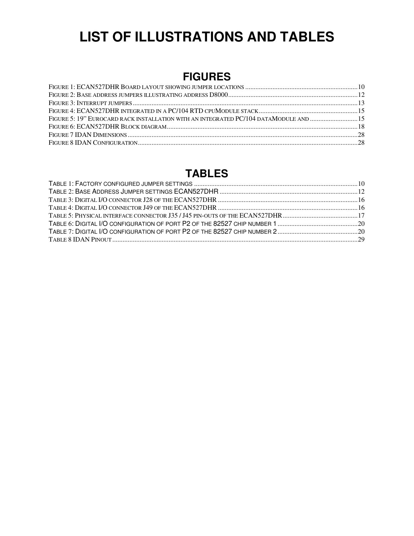# **LIST OF ILLUSTRATIONS AND TABLES**

## **FIGURES**

| FIGURE 5: 19" EUROCARD RACK INSTALLATION WITH AN INTEGRATED PC/104 DATAMODULE AND 15 |  |
|--------------------------------------------------------------------------------------|--|
|                                                                                      |  |
|                                                                                      |  |
|                                                                                      |  |
|                                                                                      |  |

### **TABLES**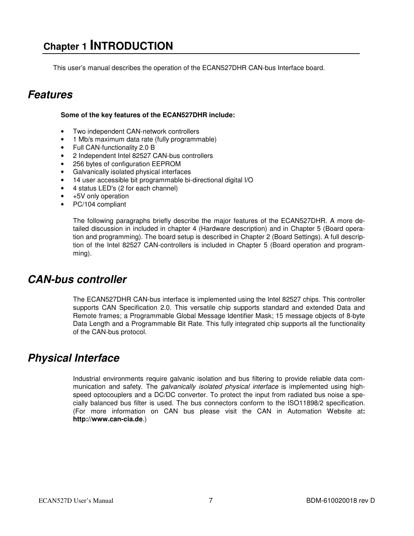## **Chapter 1 INTRODUCTION**

This user's manual describes the operation of the ECAN527DHR CAN-bus Interface board.

### **Features**

#### **Some of the key features of the ECAN527DHR include:**

- Two independent CAN-network controllers
- 1 Mb/s maximum data rate (fully programmable)
- Full CAN-functionality 2.0 B
- 2 Independent Intel 82527 CAN-bus controllers
- 256 bytes of configuration EEPROM
- Galvanically isolated physical interfaces
- 14 user accessible bit programmable bi-directional digital I/O
- 4 status LED's (2 for each channel)
- +5V only operation
- PC/104 compliant

The following paragraphs briefly describe the major features of the ECAN527DHR. A more detailed discussion in included in chapter 4 (Hardware description) and in Chapter 5 (Board operation and programming). The board setup is described in Chapter 2 (Board Settings). A full description of the Intel 82527 CAN-controllers is included in Chapter 5 (Board operation and programming).

### **CAN-bus controller**

The ECAN527DHR CAN-bus interface is implemented using the Intel 82527 chips. This controller supports CAN Specification 2.0. This versatile chip supports standard and extended Data and Remote frames; a Programmable Global Message Identifier Mask; 15 message objects of 8-byte Data Length and a Programmable Bit Rate. This fully integrated chip supports all the functionality of the CAN-bus protocol.

### **Physical Interface**

Industrial environments require galvanic isolation and bus filtering to provide reliable data communication and safety. The galvanically isolated physical interface is implemented using highspeed optocouplers and a DC/DC converter. To protect the input from radiated bus noise a specially balanced bus filter is used. The bus connectors conform to the ISO11898/2 specification. (For more information on CAN bus please visit the CAN in Automation Website at**: http://www.can-cia.de**.)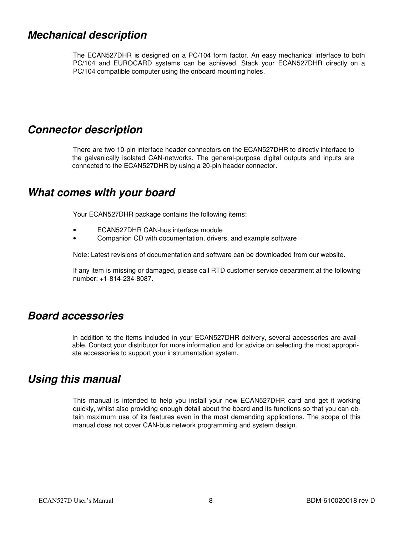### **Mechanical description**

The ECAN527DHR is designed on a PC/104 form factor. An easy mechanical interface to both PC/104 and EUROCARD systems can be achieved. Stack your ECAN527DHR directly on a PC/104 compatible computer using the onboard mounting holes.

### **Connector description**

 There are two 10-pin interface header connectors on the ECAN527DHR to directly interface to the galvanically isolated CAN-networks. The general-purpose digital outputs and inputs are connected to the ECAN527DHR by using a 20-pin header connector.

### **What comes with your board**

Your ECAN527DHR package contains the following items:

- ECAN527DHR CAN-bus interface module
- Companion CD with documentation, drivers, and example software

Note: Latest revisions of documentation and software can be downloaded from our website.

If any item is missing or damaged, please call RTD customer service department at the following number: +1-814-234-8087.

### **Board accessories**

 In addition to the items included in your ECAN527DHR delivery, several accessories are available. Contact your distributor for more information and for advice on selecting the most appropriate accessories to support your instrumentation system.

### **Using this manual**

This manual is intended to help you install your new ECAN527DHR card and get it working quickly, whilst also providing enough detail about the board and its functions so that you can obtain maximum use of its features even in the most demanding applications. The scope of this manual does not cover CAN-bus network programming and system design.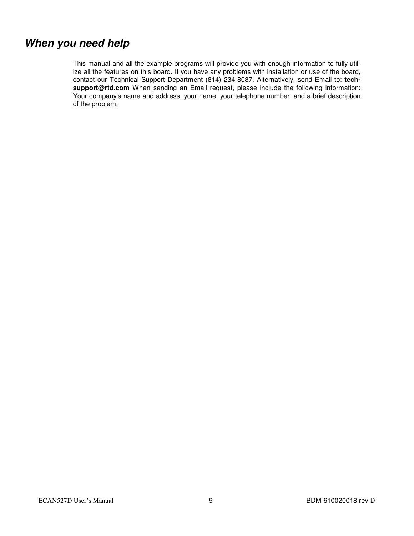### **When you need help**

This manual and all the example programs will provide you with enough information to fully utilize all the features on this board. If you have any problems with installation or use of the board, contact our Technical Support Department (814) 234-8087. Alternatively, send Email to: **techsupport@rtd.com** When sending an Email request, please include the following information: Your company's name and address, your name, your telephone number, and a brief description of the problem.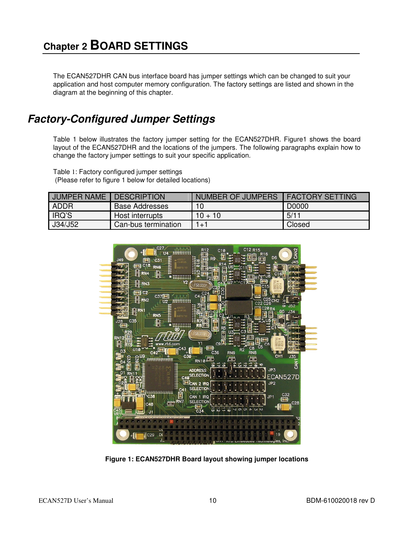The ECAN527DHR CAN bus interface board has jumper settings which can be changed to suit your application and host computer memory configuration. The factory settings are listed and shown in the diagram at the beginning of this chapter.

### **Factory-Configured Jumper Settings**

Table 1 below illustrates the factory jumper setting for the ECAN527DHR. Figure1 shows the board layout of the ECAN527DHR and the locations of the jumpers. The following paragraphs explain how to change the factory jumper settings to suit your specific application.

Table 1: Factory configured jumper settings (Please refer to figure 1 below for detailed locations)

| <b>JUMPER NAME</b> | <b>DESCRIPTION</b>    | NUMBER OF JUMPERS | <b>I FACTORY SETTING</b> |
|--------------------|-----------------------|-------------------|--------------------------|
| ADDR               | <b>Base Addresses</b> | 10                | D0000                    |
| IRQ'S              | Host interrupts       | $10 + 10$         | 5/11                     |
| J34/J52            | Can-bus termination   | $1 + 1$           | Closed                   |



**Figure 1: ECAN527DHR Board layout showing jumper locations**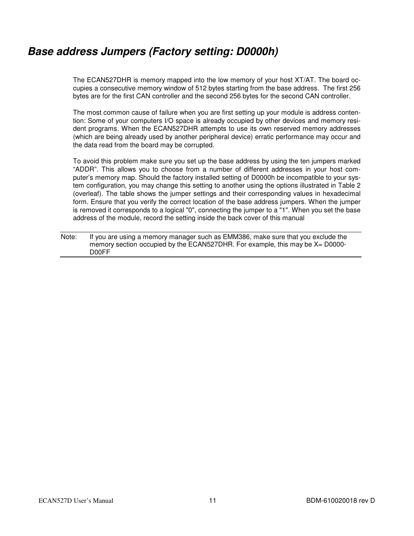### **Base address Jumpers (Factory setting: D0000h)**

The ECAN527DHR is memory mapped into the low memory of your host XT/AT. The board occupies a consecutive memory window of 512 bytes starting from the base address. The first 256 bytes are for the first CAN controller and the second 256 bytes for the second CAN controller.

The most common cause of failure when you are first setting up your module is address contention: Some of your computers I/O space is already occupied by other devices and memory resident programs. When the ECAN527DHR attempts to use its own reserved memory addresses (which are being already used by another peripheral device) erratic performance may occur and the data read from the board may be corrupted.

To avoid this problem make sure you set up the base address by using the ten jumpers marked "ADDR". This allows you to choose from a number of different addresses in your host computer's memory map. Should the factory installed setting of D0000h be incompatible to your system configuration, you may change this setting to another using the options illustrated in Table 2 (overleaf). The table shows the jumper settings and their corresponding values in hexadecimal form. Ensure that you verify the correct location of the base address jumpers. When the jumper is removed it corresponds to a logical "0", connecting the jumper to a "1". When you set the base address of the module, record the setting inside the back cover of this manual

Note: If you are using a memory manager such as EMM386, make sure that you exclude the memory section occupied by the ECAN527DHR. For example, this may be X= D0000- D00FF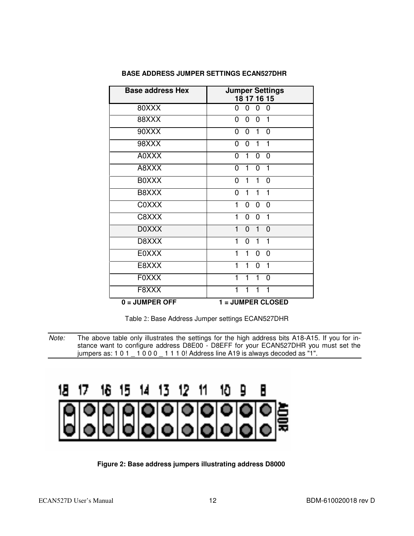| <b>Base address Hex</b> | <b>Jumper Settings</b><br>18 17 16 15                              |
|-------------------------|--------------------------------------------------------------------|
| 80XXX                   | 0<br>$\mathbf 0$<br>$\overline{0}$<br>0                            |
| 88XXX                   | $\mathbf 0$<br>$\Omega$<br>0<br>1                                  |
| 90XXX                   | $\overline{0}$<br>$\mathbf{1}$<br>$\overline{0}$<br>$\overline{0}$ |
| 98XXX                   | $\mathbf{1}$<br>$\overline{0}$<br>0<br>$\mathbf{1}$                |
| A0XXX                   | $\mathbf 0$<br>$\mathbf{1}$<br>$\mathbf 0$<br>0                    |
| A8XXX                   | $\overline{0}$<br>0<br>1<br>1                                      |
| <b>BOXXX</b>            | $\overline{0}$<br>1<br>$\mathbf{1}$<br>$\overline{0}$              |
| B8XXX                   | 0<br>1<br>1<br>1                                                   |
| <b>COXXX</b>            | 1<br>$\overline{0}$<br>0<br>0                                      |
| C8XXX                   | 1<br>1<br>$\overline{0}$<br>0                                      |
| <b>DOXXX</b>            | 1<br>$\overline{0}$<br>$\Omega$<br>1                               |
| D8XXX                   | 1<br>1<br>1<br>0                                                   |
| <b>EOXXX</b>            | $\overline{0}$<br>1<br>$\overline{0}$                              |
| E8XXX                   | 1<br>1<br>$\overline{0}$                                           |
| <b>FOXXX</b>            | $\overline{0}$<br>1<br>1                                           |
| F8XXX                   | 1<br>1<br>1                                                        |
| $0 =$ JUMPER OFF        | 1 = JUMPER CLOSED                                                  |

#### **BASE ADDRESS JUMPER SETTINGS ECAN527DHR**

Table 2: Base Address Jumper settings ECAN527DHR

#### 18 . 16 15 13. 12 11 17 10.  $\overline{\mathbf{a}}$ В 14.

 **Figure 2: Base address jumpers illustrating address D8000** 

Note: The above table only illustrates the settings for the high address bits A18-A15. If you for instance want to configure address D8E00 - D8EFF for your ECAN527DHR you must set the jumpers as:  $101 - 1000 - 1110!$  Address line A19 is always decoded as "1".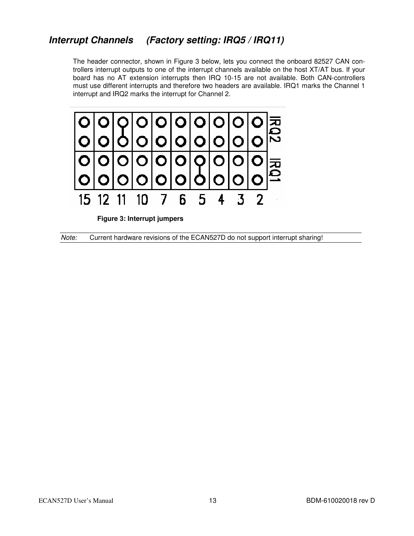### **Interrupt Channels (Factory setting: IRQ5 / IRQ11)**

The header connector, shown in Figure 3 below, lets you connect the onboard 82527 CAN controllers interrupt outputs to one of the interrupt channels available on the host XT/AT bus. If your board has no AT extension interrupts then IRQ 10-15 are not available. Both CAN-controllers must use different interrupts and therefore two headers are available. IRQ1 marks the Channel 1 interrupt and IRQ2 marks the interrupt for Channel 2.



 **Figure 3: Interrupt jumpers** 

Note: Current hardware revisions of the ECAN527D do not support interrupt sharing!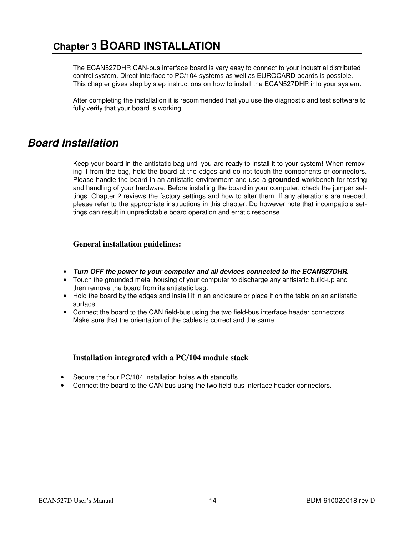## **Chapter 3 BOARD INSTALLATION**

The ECAN527DHR CAN-bus interface board is very easy to connect to your industrial distributed control system. Direct interface to PC/104 systems as well as EUROCARD boards is possible. This chapter gives step by step instructions on how to install the ECAN527DHR into your system.

After completing the installation it is recommended that you use the diagnostic and test software to fully verify that your board is working.

### **Board Installation**

Keep your board in the antistatic bag until you are ready to install it to your system! When removing it from the bag, hold the board at the edges and do not touch the components or connectors. Please handle the board in an antistatic environment and use a **grounded** workbench for testing and handling of your hardware. Before installing the board in your computer, check the jumper settings. Chapter 2 reviews the factory settings and how to alter them. If any alterations are needed, please refer to the appropriate instructions in this chapter. Do however note that incompatible settings can result in unpredictable board operation and erratic response.

#### **General installation guidelines:**

- **Turn OFF the power to your computer and all devices connected to the ECAN527DHR.**
- Touch the grounded metal housing of your computer to discharge any antistatic build-up and then remove the board from its antistatic bag.
- Hold the board by the edges and install it in an enclosure or place it on the table on an antistatic surface.
- Connect the board to the CAN field-bus using the two field-bus interface header connectors. Make sure that the orientation of the cables is correct and the same.

### **Installation integrated with a PC/104 module stack**

- Secure the four PC/104 installation holes with standoffs.
- Connect the board to the CAN bus using the two field-bus interface header connectors.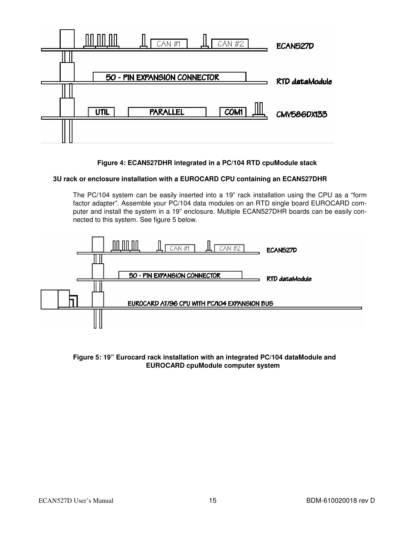

 **Figure 4: ECAN527DHR integrated in a PC/104 RTD cpuModule stack** 

#### **3U rack or enclosure installation with a EUROCARD CPU containing an ECAN527DHR**

The PC/104 system can be easily inserted into a 19" rack installation using the CPU as a "form factor adapter". Assemble your PC/104 data modules on an RTD single board EUROCARD computer and install the system in a 19" enclosure. Multiple ECAN527DHR boards can be easily connected to this system. See figure 5 below.



#### **Figure 5: 19" Eurocard rack installation with an integrated PC/104 dataModule and EUROCARD cpuModule computer system**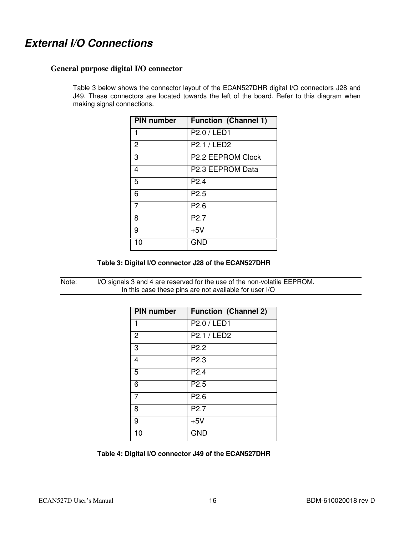### **External I/O Connections**

#### **General purpose digital I/O connector**

Table 3 below shows the connector layout of the ECAN527DHR digital I/O connectors J28 and J49. These connectors are located towards the left of the board. Refer to this diagram when making signal connections.

| <b>PIN</b> number | <b>Function (Channel 1)</b> |
|-------------------|-----------------------------|
|                   | P2.0 / LED1                 |
| $\overline{2}$    | P2.1 / LED2                 |
| 3                 | P2.2 EEPROM Clock           |
| 4                 | P2.3 EEPROM Data            |
| $\overline{5}$    | P <sub>2.4</sub>            |
| 6                 | P <sub>2.5</sub>            |
| 7                 | P <sub>2.6</sub>            |
| 8                 | P <sub>2.7</sub>            |
| 9                 | $+5V$                       |
| 10                | <b>GND</b>                  |

 **Table 3: Digital I/O connector J28 of the ECAN527DHR** 

Note: I/O signals 3 and 4 are reserved for the use of the non-volatile EEPROM. In this case these pins are not available for user I/O

| <b>PIN number</b> | <b>Function (Channel 2)</b> |
|-------------------|-----------------------------|
| 1                 | P2.0 / LED1                 |
| $\overline{2}$    | P2.1 / LED2                 |
| 3                 | P <sub>2.2</sub>            |
| 4                 | P <sub>2.3</sub>            |
| 5                 | P <sub>2.4</sub>            |
| 6                 | P <sub>2.5</sub>            |
| 7                 | P <sub>2.6</sub>            |
| 8                 | P <sub>2.7</sub>            |
| 9                 | $+5V$                       |
| 10                | <b>GND</b>                  |

 **Table 4: Digital I/O connector J49 of the ECAN527DHR**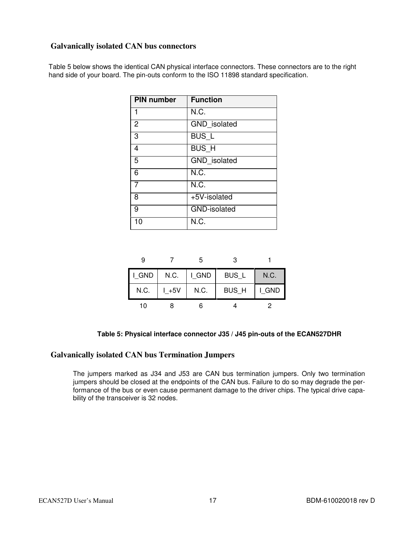### **Galvanically isolated CAN bus connectors**

Table 5 below shows the identical CAN physical interface connectors. These connectors are to the right hand side of your board. The pin-outs conform to the ISO 11898 standard specification.

| <b>PIN number</b> | <b>Function</b>     |
|-------------------|---------------------|
| 1                 | N.C.                |
| $\overline{2}$    | GND isolated        |
| 3                 | BUS_L               |
| 4                 | BUS_H               |
| 5                 | GND isolated        |
| 6                 | N.C.                |
| 7                 | N.C.                |
| 8                 | +5V-isolated        |
| 9                 | <b>GND-isolated</b> |
| 10                | N.C.                |

| 9     |          | 5         |       |       |
|-------|----------|-----------|-------|-------|
| I GND | N.C.     | $ $ I_GND | BUS_L | N.C.  |
| N.C.  | $L + 5V$ | N.C.      | BUS_H | I GND |
| 10    |          |           |       |       |

 **Table 5: Physical interface connector J35 / J45 pin-outs of the ECAN527DHR** 

#### **Galvanically isolated CAN bus Termination Jumpers**

The jumpers marked as J34 and J53 are CAN bus termination jumpers. Only two termination jumpers should be closed at the endpoints of the CAN bus. Failure to do so may degrade the performance of the bus or even cause permanent damage to the driver chips. The typical drive capability of the transceiver is 32 nodes.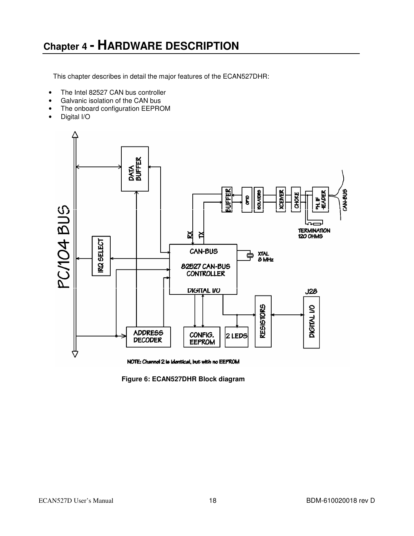## **Chapter 4 - HARDWARE DESCRIPTION**

This chapter describes in detail the major features of the ECAN527DHR:

- The Intel 82527 CAN bus controller
- Galvanic isolation of the CAN bus
- The onboard configuration EEPROM
- Digital I/O



 **Figure 6: ECAN527DHR Block diagram**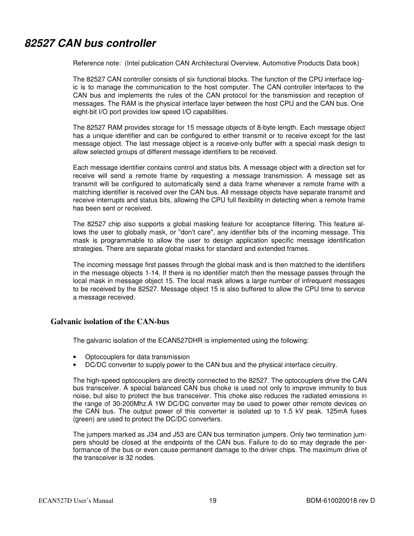### **82527 CAN bus controller**

Reference note: (Intel publication CAN Architectural Overview, Automotive Products Data book)

The 82527 CAN controller consists of six functional blocks. The function of the CPU interface logic is to manage the communication to the host computer. The CAN controller interfaces to the CAN bus and implements the rules of the CAN protocol for the transmission and reception of messages. The RAM is the physical interface layer between the host CPU and the CAN bus. One eight-bit I/O port provides low speed I/O capabilities.

The 82527 RAM provides storage for 15 message objects of 8-byte length. Each message object has a unique identifier and can be configured to either transmit or to receive except for the last message object. The last message object is a receive-only buffer with a special mask design to allow selected groups of different message identifiers to be received.

Each message identifier contains control and status bits. A message object with a direction set for receive will send a remote frame by requesting a message transmission. A message set as transmit will be configured to automatically send a data frame whenever a remote frame with a matching identifier is received over the CAN bus. All message objects have separate transmit and receive interrupts and status bits, allowing the CPU full flexibility in detecting when a remote frame has been sent or received.

The 82527 chip also supports a global masking feature for acceptance filtering. This feature allows the user to globally mask, or "don't care", any identifier bits of the incoming message. This mask is programmable to allow the user to design application specific message identification strategies. There are separate global masks for standard and extended frames.

The incoming message first passes through the global mask and is then matched to the identifiers in the message objects 1-14. If there is no identifier match then the message passes through the local mask in message object 15. The local mask allows a large number of infrequent messages to be received by the 82527. Message object 15 is also buffered to allow the CPU time to service a message received.

#### **Galvanic isolation of the CAN-bus**

The galvanic isolation of the ECAN527DHR is implemented using the following:

- Optocouplers for data transmission
- DC/DC converter to supply power to the CAN bus and the physical interface circuitry.

The high-speed optocouplers are directly connected to the 82527. The optocouplers drive the CAN bus transceiver. A special balanced CAN bus choke is used not only to improve immunity to bus noise, but also to protect the bus transceiver. This choke also reduces the radiated emissions in the range of 30-200Mhz.A 1W DC/DC converter may be used to power other remote devices on the CAN bus. The output power of this converter is isolated up to 1.5 kV peak. 125mA fuses (green) are used to protect the DC/DC converters.

The jumpers marked as J34 and J53 are CAN bus termination jumpers. Only two termination jumpers should be closed at the endpoints of the CAN bus. Failure to do so may degrade the performance of the bus or even cause permanent damage to the driver chips. The maximum drive of the transceiver is 32 nodes.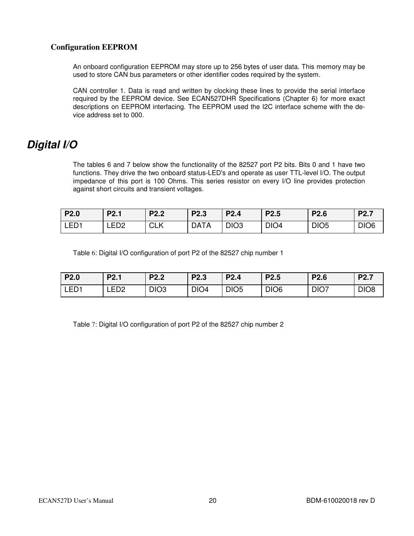### **Configuration EEPROM**

An onboard configuration EEPROM may store up to 256 bytes of user data. This memory may be used to store CAN bus parameters or other identifier codes required by the system.

CAN controller 1. Data is read and written by clocking these lines to provide the serial interface required by the EEPROM device. See ECAN527DHR Specifications (Chapter 6) for more exact descriptions on EEPROM interfacing. The EEPROM used the I2C interface scheme with the device address set to 000.

### **Digital I/O**

The tables 6 and 7 below show the functionality of the 82527 port P2 bits. Bits 0 and 1 have two functions. They drive the two onboard status-LED's and operate as user TTL-level I/O. The output impedance of this port is 100 Ohms. This series resistor on every I/O line provides protection against short circuits and transient voltages.

| P2.0             | P <sub>2.1</sub> | P <sub>2.2</sub> | P <sub>2.3</sub> | P <sub>2.4</sub> | P <sub>2.5</sub> | P <sub>2.6</sub> | P <sub>2.7</sub> |
|------------------|------------------|------------------|------------------|------------------|------------------|------------------|------------------|
| LED <sub>1</sub> | LED <sub>2</sub> | <b>CLK</b>       | <b>DATA</b>      | DIO <sub>3</sub> | DIO <sub>4</sub> | DIO <sub>5</sub> | DIO <sub>6</sub> |

Table 6: Digital I/O configuration of port P2 of the 82527 chip number 1

| P2.0             | P <sub>2.1</sub> | P <sub>2.2</sub> | P <sub>2.3</sub> | <b>P2.4</b>      | P <sub>2.5</sub> | <b>P2.6</b>      | P <sub>2.7</sub> |
|------------------|------------------|------------------|------------------|------------------|------------------|------------------|------------------|
| LED <sub>1</sub> | LED <sub>2</sub> | DIO <sub>3</sub> | DIO <sub>4</sub> | DIO <sub>5</sub> | DIO <sub>6</sub> | DIO <sub>7</sub> | DIO <sub>8</sub> |

Table 7: Digital I/O configuration of port P2 of the 82527 chip number 2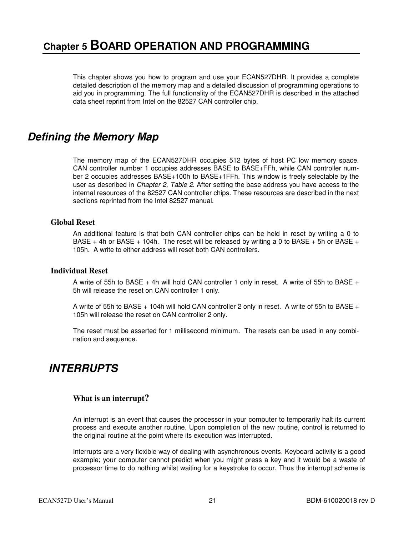This chapter shows you how to program and use your ECAN527DHR. It provides a complete detailed description of the memory map and a detailed discussion of programming operations to aid you in programming. The full functionality of the ECAN527DHR is described in the attached data sheet reprint from Intel on the 82527 CAN controller chip.

### **Defining the Memory Map**

The memory map of the ECAN527DHR occupies 512 bytes of host PC low memory space. CAN controller number 1 occupies addresses BASE to BASE+FFh, while CAN controller number 2 occupies addresses BASE+100h to BASE+1FFh. This window is freely selectable by the user as described in Chapter 2, Table 2. After setting the base address you have access to the internal resources of the 82527 CAN controller chips. These resources are described in the next sections reprinted from the Intel 82527 manual.

### **Global Reset**

An additional feature is that both CAN controller chips can be held in reset by writing a 0 to BASE + 4h or BASE + 104h. The reset will be released by writing a 0 to BASE + 5h or BASE + 105h. A write to either address will reset both CAN controllers.

#### **Individual Reset**

A write of 55h to BASE  $+$  4h will hold CAN controller 1 only in reset. A write of 55h to BASE  $+$ 5h will release the reset on CAN controller 1 only.

A write of 55h to BASE  $+$  104h will hold CAN controller 2 only in reset. A write of 55h to BASE  $+$ 105h will release the reset on CAN controller 2 only.

The reset must be asserted for 1 millisecond minimum. The resets can be used in any combination and sequence.

### **INTERRUPTS**

### **What is an interrupt?**

An interrupt is an event that causes the processor in your computer to temporarily halt its current process and execute another routine. Upon completion of the new routine, control is returned to the original routine at the point where its execution was interrupted.

Interrupts are a very flexible way of dealing with asynchronous events. Keyboard activity is a good example; your computer cannot predict when you might press a key and it would be a waste of processor time to do nothing whilst waiting for a keystroke to occur. Thus the interrupt scheme is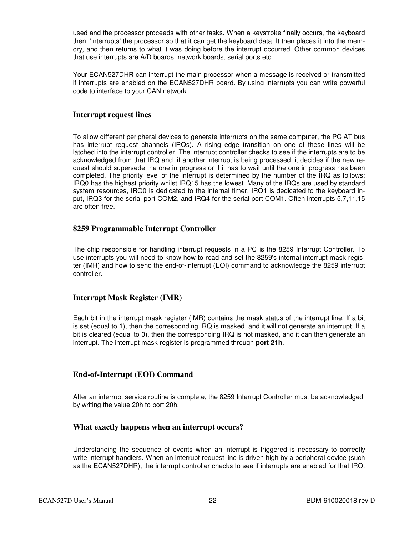used and the processor proceeds with other tasks. When a keystroke finally occurs, the keyboard then 'interrupts' the processor so that it can get the keyboard data .It then places it into the memory, and then returns to what it was doing before the interrupt occurred. Other common devices that use interrupts are A/D boards, network boards, serial ports etc.

Your ECAN527DHR can interrupt the main processor when a message is received or transmitted if interrupts are enabled on the ECAN527DHR board. By using interrupts you can write powerful code to interface to your CAN network.

#### **Interrupt request lines**

To allow different peripheral devices to generate interrupts on the same computer, the PC AT bus has interrupt request channels (IRQs). A rising edge transition on one of these lines will be latched into the interrupt controller. The interrupt controller checks to see if the interrupts are to be acknowledged from that IRQ and, if another interrupt is being processed, it decides if the new request should supersede the one in progress or if it has to wait until the one in progress has been completed. The priority level of the interrupt is determined by the number of the IRQ as follows; IRQ0 has the highest priority whilst IRQ15 has the lowest. Many of the IRQs are used by standard system resources, IRQ0 is dedicated to the internal timer, IRQ1 is dedicated to the keyboard input, IRQ3 for the serial port COM2, and IRQ4 for the serial port COM1. Often interrupts 5,7,11,15 are often free.

### **8259 Programmable Interrupt Controller**

The chip responsible for handling interrupt requests in a PC is the 8259 Interrupt Controller. To use interrupts you will need to know how to read and set the 8259's internal interrupt mask register (IMR) and how to send the end-of-interrupt (EOI) command to acknowledge the 8259 interrupt controller.

### **Interrupt Mask Register (IMR)**

Each bit in the interrupt mask register (IMR) contains the mask status of the interrupt line. If a bit is set (equal to 1), then the corresponding IRQ is masked, and it will not generate an interrupt. If a bit is cleared (equal to 0), then the corresponding IRQ is not masked, and it can then generate an interrupt. The interrupt mask register is programmed through **port 21h**.

### **End-of-Interrupt (EOI) Command**

After an interrupt service routine is complete, the 8259 Interrupt Controller must be acknowledged by writing the value 20h to port 20h.

#### **What exactly happens when an interrupt occurs?**

Understanding the sequence of events when an interrupt is triggered is necessary to correctly write interrupt handlers. When an interrupt request line is driven high by a peripheral device (such as the ECAN527DHR), the interrupt controller checks to see if interrupts are enabled for that IRQ.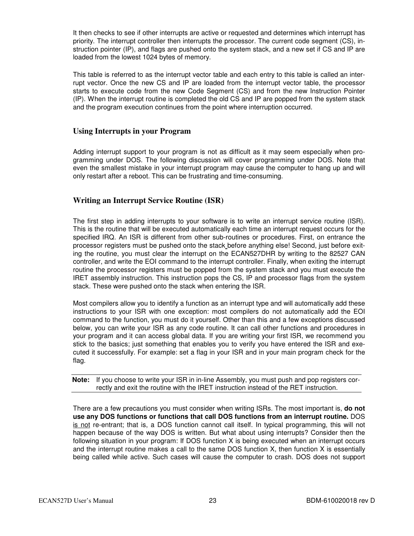It then checks to see if other interrupts are active or requested and determines which interrupt has priority. The interrupt controller then interrupts the processor. The current code segment (CS), instruction pointer (IP), and flags are pushed onto the system stack, and a new set if CS and IP are loaded from the lowest 1024 bytes of memory.

This table is referred to as the interrupt vector table and each entry to this table is called an interrupt vector. Once the new CS and IP are loaded from the interrupt vector table, the processor starts to execute code from the new Code Segment (CS) and from the new Instruction Pointer (IP). When the interrupt routine is completed the old CS and IP are popped from the system stack and the program execution continues from the point where interruption occurred.

#### **Using Interrupts in your Program**

Adding interrupt support to your program is not as difficult as it may seem especially when programming under DOS. The following discussion will cover programming under DOS. Note that even the smallest mistake in your interrupt program may cause the computer to hang up and will only restart after a reboot. This can be frustrating and time-consuming.

### **Writing an Interrupt Service Routine (ISR)**

The first step in adding interrupts to your software is to write an interrupt service routine (ISR). This is the routine that will be executed automatically each time an interrupt request occurs for the specified IRQ. An ISR is different from other sub-routines or procedures. First, on entrance the processor registers must be pushed onto the stack before anything else! Second, just before exiting the routine, you must clear the interrupt on the ECAN527DHR by writing to the 82527 CAN controller, and write the EOI command to the interrupt controller. Finally, when exiting the interrupt routine the processor registers must be popped from the system stack and you must execute the IRET assembly instruction. This instruction pops the CS, IP and processor flags from the system stack. These were pushed onto the stack when entering the ISR.

Most compilers allow you to identify a function as an interrupt type and will automatically add these instructions to your ISR with one exception: most compilers do not automatically add the EOI command to the function, you must do it yourself. Other than this and a few exceptions discussed below, you can write your ISR as any code routine. It can call other functions and procedures in your program and it can access global data. If you are writing your first ISR, we recommend you stick to the basics; just something that enables you to verify you have entered the ISR and executed it successfully. For example: set a flag in your ISR and in your main program check for the flag.

**Note:** If you choose to write your ISR in in-line Assembly, you must push and pop registers correctly and exit the routine with the IRET instruction instead of the RET instruction.

There are a few precautions you must consider when writing ISRs. The most important is, **do not use any DOS functions or functions that call DOS functions from an interrupt routine.** DOS is not re-entrant; that is, a DOS function cannot call itself. In typical programming, this will not happen because of the way DOS is written. But what about using interrupts? Consider then the following situation in your program: If DOS function X is being executed when an interrupt occurs and the interrupt routine makes a call to the same DOS function X, then function X is essentially being called while active. Such cases will cause the computer to crash. DOS does not support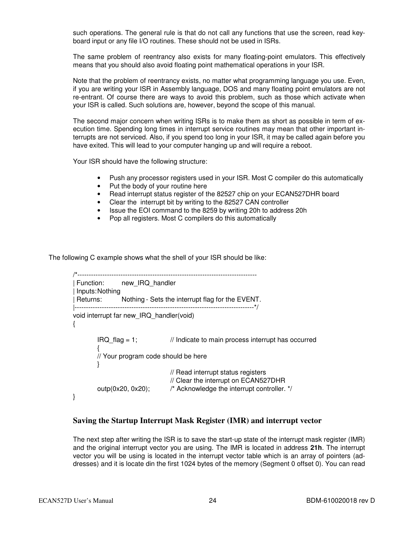such operations. The general rule is that do not call any functions that use the screen, read keyboard input or any file I/O routines. These should not be used in ISRs.

The same problem of reentrancy also exists for many floating-point emulators. This effectively means that you should also avoid floating point mathematical operations in your ISR.

Note that the problem of reentrancy exists, no matter what programming language you use. Even, if you are writing your ISR in Assembly language, DOS and many floating point emulators are not re-entrant. Of course there are ways to avoid this problem, such as those which activate when your ISR is called. Such solutions are, however, beyond the scope of this manual.

The second major concern when writing ISRs is to make them as short as possible in term of execution time. Spending long times in interrupt service routines may mean that other important interrupts are not serviced. Also, if you spend too long in your ISR, it may be called again before you have exited. This will lead to your computer hanging up and will require a reboot.

Your ISR should have the following structure:

- Push any processor registers used in your ISR. Most C compiler do this automatically
- Put the body of your routine here
- Read interrupt status register of the 82527 chip on your ECAN527DHR board
- Clear the interrupt bit by writing to the 82527 CAN controller<br>• Issue the EOI command to the 8259 by writing 20h to addres
- Issue the EOI command to the 8259 by writing 20h to address 20h
- Pop all registers. Most C compilers do this automatically

The following C example shows what the shell of your ISR should be like:

```
/*------------------------------------------------------------------------------- 
| Function: new_IRQ_handler 
| Inputs: Nothing 
| Returns: Nothing - Sets the interrupt flag for the EVENT. 
|-------------------------------------------------------------------------------*/ 
void interrupt far new_IRQ_handler(void) 
{ 
         IRQ_flag = 1; \frac{1}{2} Indicate to main process interrupt has occurred
\{ // Your program code should be here 
         } 
                                   // Read interrupt status registers 
                                   // Clear the interrupt on ECAN527DHR 
         outp(0x20, 0x20); /* Acknowledge the interrupt controller. */ 
}
```
#### **Saving the Startup Interrupt Mask Register (IMR) and interrupt vector**

The next step after writing the ISR is to save the start-up state of the interrupt mask register (IMR) and the original interrupt vector you are using. The IMR is located in address **21h**. The interrupt vector you will be using is located in the interrupt vector table which is an array of pointers (addresses) and it is locate din the first 1024 bytes of the memory (Segment 0 offset 0). You can read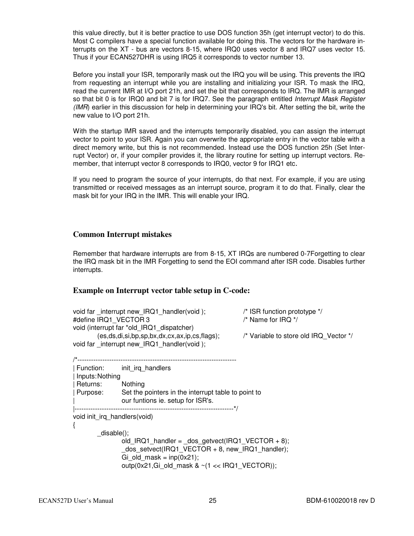this value directly, but it is better practice to use DOS function 35h (get interrupt vector) to do this. Most C compilers have a special function available for doing this. The vectors for the hardware interrupts on the XT - bus are vectors 8-15, where IRQ0 uses vector 8 and IRQ7 uses vector 15. Thus if your ECAN527DHR is using IRQ5 it corresponds to vector number 13.

Before you install your ISR, temporarily mask out the IRQ you will be using. This prevents the IRQ from requesting an interrupt while you are installing and initializing your ISR. To mask the IRQ, read the current IMR at I/O port 21h, and set the bit that corresponds to IRQ. The IMR is arranged so that bit 0 is for IRQ0 and bit 7 is for IRQ7. See the paragraph entitled Interrupt Mask Register (IMR) earlier in this discussion for help in determining your IRQ's bit. After setting the bit, write the new value to I/O port 21h.

With the startup IMR saved and the interrupts temporarily disabled, you can assign the interrupt vector to point to your ISR. Again you can overwrite the appropriate entry in the vector table with a direct memory write, but this is not recommended. Instead use the DOS function 25h (Set Interrupt Vector) or, if your compiler provides it, the library routine for setting up interrupt vectors. Remember, that interrupt vector 8 corresponds to IRQ0, vector 9 for IRQ1 etc.

If you need to program the source of your interrupts, do that next. For example, if you are using transmitted or received messages as an interrupt source, program it to do that. Finally, clear the mask bit for your IRQ in the IMR. This will enable your IRQ.

#### **Common Interrupt mistakes**

Remember that hardware interrupts are from 8-15, XT IRQs are numbered 0-7Forgetting to clear the IRQ mask bit in the IMR Forgetting to send the EOI command after ISR code. Disables further interrupts.

#### **Example on Interrupt vector table setup in C-code:**

| void far interrupt new IRQ1 handler(void);                 | $\prime$ * ISR function prototype */   |  |
|------------------------------------------------------------|----------------------------------------|--|
| #define IRQ1 VECTOR 3                                      | $\prime$ * Name for IRQ */             |  |
| void (interrupt far *old IRQ1 dispatcher)                  |                                        |  |
| $(es, ds, di, si, bp, sp, bx, dx, cx, ax, ip, cs, flags);$ | /* Variable to store old IRQ Vector */ |  |
| void far interrupt new IRQ1 handler(void);                 |                                        |  |
|                                                            |                                        |  |

|                 | Function: init irg handlers                                                              |
|-----------------|------------------------------------------------------------------------------------------|
| Inputs: Nothing |                                                                                          |
| Returns:        | Nothing                                                                                  |
| Purpose:        | Set the pointers in the interrupt table to point to<br>our funtions ie. setup for ISR's. |
|                 | void init_irq_handlers(void)                                                             |

 $\mathcal{L}$ 

 \_disable(); old IRQ1 handler =  $\cos$  getvect(IRQ1 VECTOR + 8); dos\_setvect(IRQ1\_VECTOR + 8, new\_IRQ1\_handler); Gi old mask =  $inp(0x21);$ outp(0x21,Gi\_old\_mask & ~(1 << IRQ1\_VECTOR));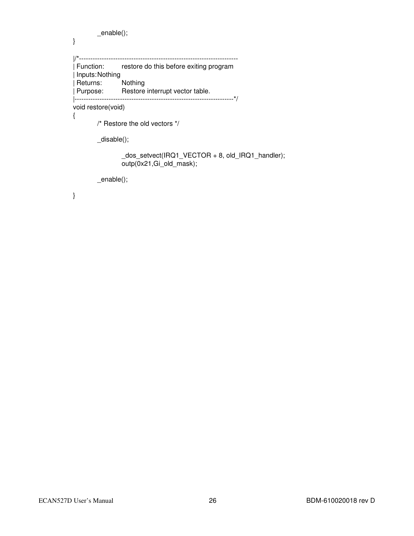```
 _enable(); 
}
|/*---------------------------------------------------------------------- 
 Function: restore do this before exiting program
 | Inputs: Nothing 
| Returns: Nothing 
| Purpose: Restore interrupt vector table. 
|----------------------------------------------------------------------*/ 
void restore(void) 
{ 
          /* Restore the old vectors */ 
          _disable(); 
                   _dos_setvect(IRQ1_VECTOR + 8, old_IRQ1_handler);
```
outp(0x21,Gi\_old\_mask);

\_enable();

}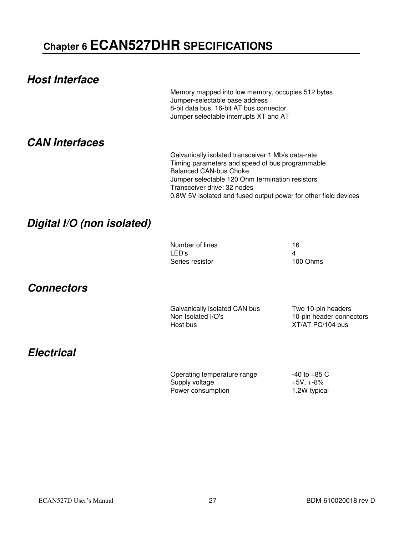# **Chapter 6 ECAN527DHR SPECIFICATIONS**

| <b>Host Interface</b>      | Memory mapped into low memory, occupies 512 bytes<br>Jumper-selectable base address<br>8-bit data bus, 16-bit AT bus connector<br>Jumper selectable interrupts XT and AT                                                                                                                    |                                                                    |
|----------------------------|---------------------------------------------------------------------------------------------------------------------------------------------------------------------------------------------------------------------------------------------------------------------------------------------|--------------------------------------------------------------------|
| <b>CAN Interfaces</b>      | Galvanically isolated transceiver 1 Mb/s data-rate<br>Timing parameters and speed of bus programmable<br><b>Balanced CAN-bus Choke</b><br>Jumper selectable 120 Ohm termination resistors<br>Transceiver drive: 32 nodes<br>0.8W 5V isolated and fused output power for other field devices |                                                                    |
| Digital I/O (non isolated) |                                                                                                                                                                                                                                                                                             |                                                                    |
|                            | Number of lines<br>LED's<br>Series resistor                                                                                                                                                                                                                                                 | 16<br>4<br>100 Ohms                                                |
| <b>Connectors</b>          |                                                                                                                                                                                                                                                                                             |                                                                    |
|                            | Galvanically isolated CAN bus<br>Non Isolated I/O's<br>Host bus                                                                                                                                                                                                                             | Two 10-pin headers<br>10-pin header connectors<br>XT/AT PC/104 bus |
| <b>Electrical</b>          |                                                                                                                                                                                                                                                                                             |                                                                    |
|                            | Operating temperature range<br>Supply voltage<br>Power consumption                                                                                                                                                                                                                          | $-40$ to $+85$ C<br>$+5V, +-8%$<br>1.2W typical                    |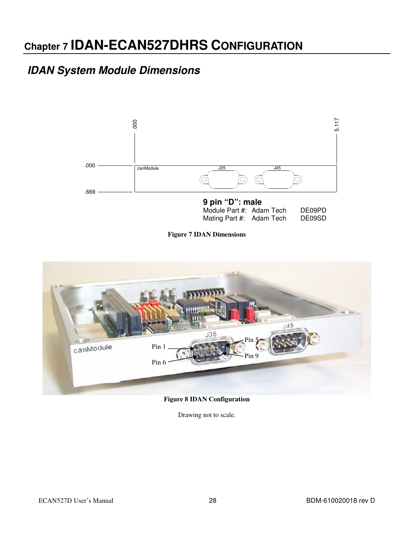# **Chapter 7 IDAN-ECAN527DHRS CONFIGURATION**

### **IDAN System Module Dimensions**



**Figure 7 IDAN Dimensions** 



**Figure 8 IDAN Configuration** 

Drawing not to scale.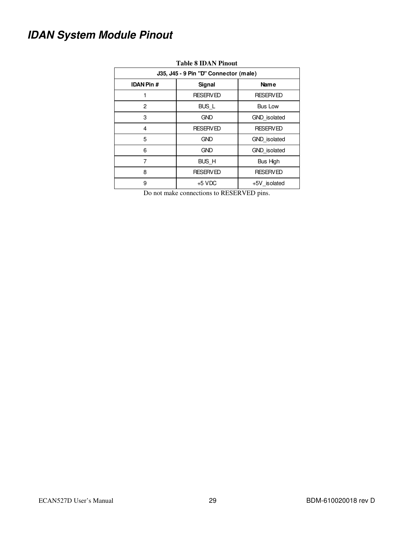# **IDAN System Module Pinout**

| тарк о трят типоче<br>J35, J45 - 9 Pin "D" Connector (male) |                 |                     |  |  |  |
|-------------------------------------------------------------|-----------------|---------------------|--|--|--|
| <b>IDAN Pin #</b>                                           | Signal          | Name                |  |  |  |
|                                                             | <b>RESERVED</b> | <b>RESERVED</b>     |  |  |  |
| 2                                                           | <b>BUS L</b>    | <b>Bus Low</b>      |  |  |  |
| 3                                                           | <b>GND</b>      | <b>GND</b> isolated |  |  |  |
| 4                                                           | <b>RESERVED</b> | <b>RESERVED</b>     |  |  |  |
| 5                                                           | <b>GND</b>      | <b>GND</b> isolated |  |  |  |
| 6                                                           | <b>GND</b>      | GND isolated        |  |  |  |
| 7                                                           | BUS_H           | Bus High            |  |  |  |
| 8                                                           | <b>RESERVED</b> | <b>RESERVED</b>     |  |  |  |
| 9                                                           | $+5$ VDC        | +5V isolated        |  |  |  |

#### **Table 8 IDAN Pinout**

Do not make connections to RESERVED pins.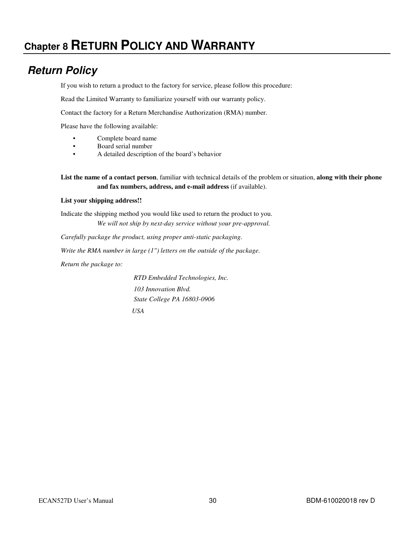# **Chapter 8 RETURN POLICY AND WARRANTY**

### **Return Policy**

If you wish to return a product to the factory for service, please follow this procedure:

Read the Limited Warranty to familiarize yourself with our warranty policy.

Contact the factory for a Return Merchandise Authorization (RMA) number.

Please have the following available:

- Complete board name
- Board serial number
- A detailed description of the board's behavior

**List the name of a contact person**, familiar with technical details of the problem or situation, **along with their phone and fax numbers, address, and e-mail address** (if available).

#### **List your shipping address!!**

Indicate the shipping method you would like used to return the product to you. *We will not ship by next-day service without your pre-approval.*

*Carefully package the product, using proper anti-static packaging.*

*Write the RMA number in large (1") letters on the outside of the package.*

*Return the package to:* 

 *RTD Embedded Technologies, Inc. 103 Innovation Blvd. State College PA 16803-0906 USA*